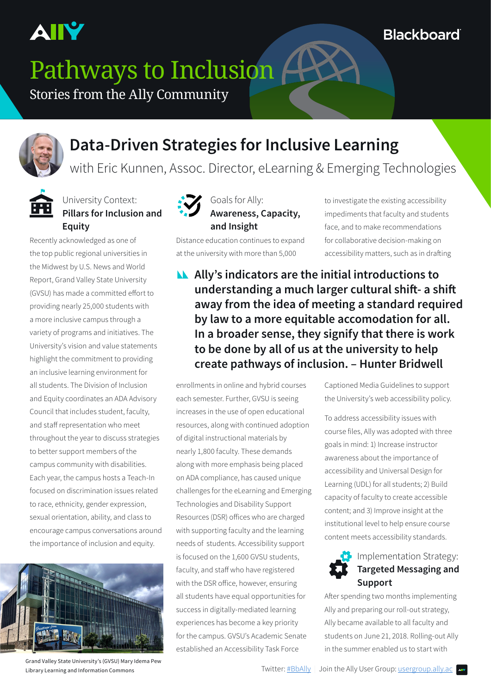

**Blackboard** 

# Pathways to Inclusion

Stories from the Ally Community



## **Data-Driven Strategies for Inclusive Learning**

with Eric Kunnen, Assoc. Director, eLearning & Emerging Technologies



#### University Context: **Pillars for Inclusion and Equity**

Recently acknowledged as one of the top public regional universities in the Midwest by U.S. News and World Report, Grand Valley State University (GVSU) has made a committed effort to providing nearly 25,000 students with a more inclusive campus through a variety of programs and initiatives. The University's vision and value statements highlight the commitment to providing an inclusive learning environment for all students. The Division of Inclusion and Equity coordinates an ADA Advisory Council that includes student, faculty, and staff representation who meet throughout the year to discuss strategies to better support members of the campus community with disabilities. Each year, the campus hosts a Teach-In focused on discrimination issues related to race, ethnicity, gender expression, sexual orientation, ability, and class to encourage campus conversations around the importance of inclusion and equity.



Grand Valley State University's (GVSU) Mary Idema Pew Library Learning and Information Commons



#### Goals for Ally: **Awareness, Capacity, and Insight**

Distance education continues to expand at the university with more than 5,000

to investigate the existing accessibility impediments that faculty and students face, and to make recommendations for collaborative decision-making on accessibility matters, such as in drafting

**Ally's indicators are the initial introductions to understanding a much larger cultural shift- a shift away from the idea of meeting a standard required by law to a more equitable accomodation for all. In a broader sense, they signify that there is work to be done by all of us at the university to help create pathways of inclusion. – Hunter Bridwell**

enrollments in online and hybrid courses each semester. Further, GVSU is seeing increases in the use of open educational resources, along with continued adoption of digital instructional materials by nearly 1,800 faculty. These demands along with more emphasis being placed on ADA compliance, has caused unique challenges for the eLearning and Emerging Technologies and Disability Support Resources (DSR) offices who are charged with supporting faculty and the learning needs of students. Accessibility support is focused on the 1,600 GVSU students, faculty, and staff who have registered with the DSR office, however, ensuring all students have equal opportunities for success in digitally-mediated learning experiences has become a key priority for the campus. GVSU's Academic Senate established an Accessibility Task Force

Captioned Media Guidelines to support the University's web accessibility policy.

To address accessibility issues with course files, Ally was adopted with three goals in mind: 1) Increase instructor awareness about the importance of accessibility and Universal Design for Learning (UDL) for all students; 2) Build capacity of faculty to create accessible content; and 3) Improve insight at the institutional level to help ensure course content meets accessibility standards.



#### Implementation Strategy: **Targeted Messaging and Support**

After spending two months implementing Ally and preparing our roll-out strategy, Ally became available to all faculty and students on June 21, 2018. Rolling-out Ally in the summer enabled us to start with